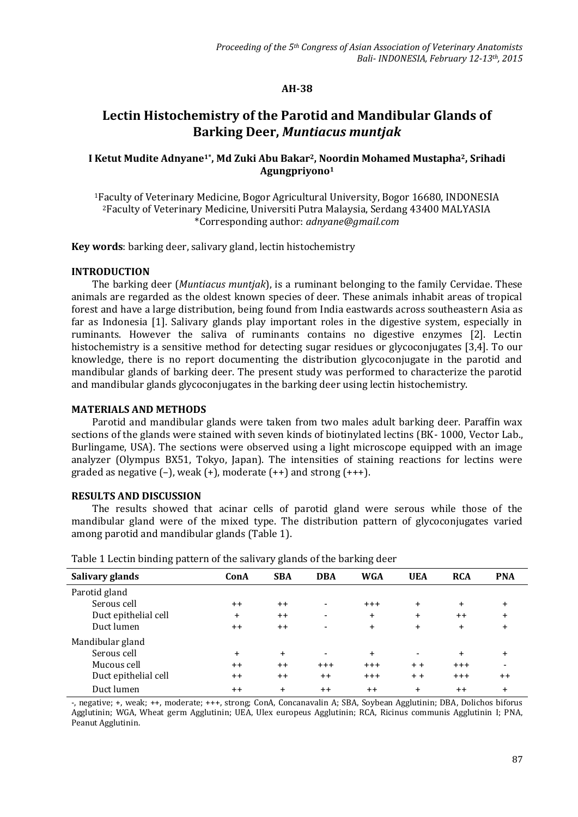# **AH-38**

# **Lectin Histochemistry of the Parotid and Mandibular Glands of Barking Deer,** *Muntiacus muntjak*

# **I Ketut Mudite Adnyane1\*, Md Zuki Abu Bakar2, Noordin Mohamed Mustapha2, Srihadi Agungpriyono<sup>1</sup>**

<sup>1</sup>Faculty of Veterinary Medicine, Bogor Agricultural University, Bogor 16680, INDONESIA <sup>2</sup>Faculty of Veterinary Medicine, Universiti Putra Malaysia, Serdang 43400 MALYASIA \*Corresponding author: *adnyane@gmail.com*

**Key words**: barking deer, salivary gland, lectin histochemistry

#### **INTRODUCTION**

The barking deer (*Muntiacus muntjak*), is a ruminant belonging to the family Cervidae. These animals are regarded as the oldest known species of deer. These animals inhabit areas of tropical forest and have a large distribution, being found from India eastwards across southeastern Asia as far as Indonesia [1]. Salivary glands play important roles in the digestive system, especially in ruminants. However the saliva of ruminants contains no digestive enzymes [2]. Lectin histochemistry is a sensitive method for detecting sugar residues or glycoconjugates [3,4]. To our knowledge, there is no report documenting the distribution glycoconjugate in the parotid and mandibular glands of barking deer. The present study was performed to characterize the parotid and mandibular glands glycoconjugates in the barking deer using lectin histochemistry.

#### **MATERIALS AND METHODS**

Parotid and mandibular glands were taken from two males adult barking deer. Paraffin wax sections of the glands were stained with seven kinds of biotinylated lectins (BK- 1000, Vector Lab., Burlingame, USA). The sections were observed using a light microscope equipped with an image analyzer (Olympus BX51, Tokyo, Japan). The intensities of staining reactions for lectins were graded as negative  $(-)$ , weak  $(+)$ , moderate  $(++)$  and strong  $(+++)$ .

## **RESULTS AND DISCUSSION**

The results showed that acinar cells of parotid gland were serous while those of the mandibular gland were of the mixed type. The distribution pattern of glycoconjugates varied among parotid and mandibular glands (Table 1).

| ັ                    |           | <b>U</b>       |                          | ັ          |            |            |            |  |
|----------------------|-----------|----------------|--------------------------|------------|------------|------------|------------|--|
| Salivary glands      | ConA      | <b>SBA</b>     | <b>DBA</b>               | <b>WGA</b> | <b>UEA</b> | <b>RCA</b> | <b>PNA</b> |  |
| Parotid gland        |           |                |                          |            |            |            |            |  |
| Serous cell          | $++$      | $++$           | $\overline{\phantom{a}}$ | $+ + +$    | $\ddot{}$  | $\ddot{}$  | $\ddot{}$  |  |
| Duct epithelial cell | $\ddot{}$ | $++$           | -                        | $\ddot{}$  | $\ddot{}$  | $++$       | $\ddot{}$  |  |
| Duct lumen           | $++$      | $++$           | -                        | $+$        | $\ddot{}$  | $+$        | $\ddot{}$  |  |
| Mandibular gland     |           |                |                          |            |            |            |            |  |
| Serous cell          | $\ddot{}$ | $+$            |                          | $\ddot{}$  |            | $\ddot{}$  | $\ddot{}$  |  |
| Mucous cell          | $++$      | $++$           | $+++$                    | $+ + +$    | $+ +$      | $+++$      |            |  |
| Duct epithelial cell | $++$      | $++$           | $++$                     | $+ + +$    | $+ +$      | $+++$      | $++$       |  |
| Duct lumen           | $++$      | $\overline{+}$ | $++$                     | $++$       | $\ddot{}$  | $++$       | $\ddot{}$  |  |

Table 1 Lectin binding pattern of the salivary glands of the barking deer

-, negative; +, weak; ++, moderate; +++, strong; ConA, Concanavalin A; SBA, Soybean Agglutinin; DBA, Dolichos biforus Agglutinin; WGA, Wheat germ Agglutinin; UEA, Ulex europeus Agglutinin; RCA, Ricinus communis Agglutinin I; PNA, Peanut Agglutinin.